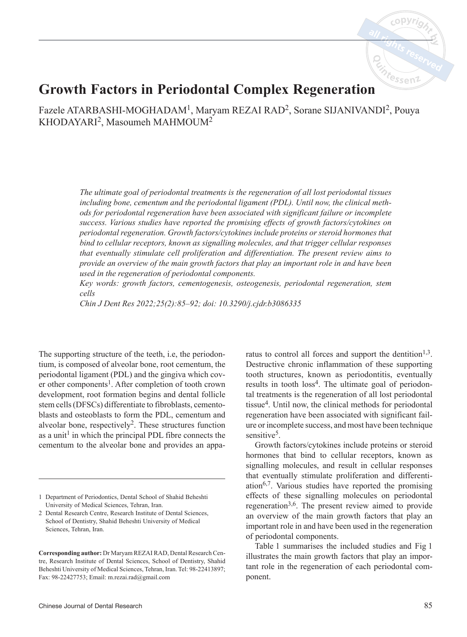

# **Growth Factors in Periodontal Complex Regeneration**

Fazele ATARBASHI-MOGHADAM1, Maryam REZAI RAD2, Sorane SIJANIVANDI2, Pouya KHODAYARI2, Masoumeh MAHMOUM2

> *The ultimate goal of periodontal treatments is the regeneration of all lost periodontal tissues including bone, cementum and the periodontal ligament (PDL). Until now, the clinical methods for periodontal regeneration have been associated with significant failure or incomplete success. Various studies have reported the promising effects of growth factors/cytokines on periodontal regeneration. Growth factors/cytokines include proteins or steroid hormones that bind to cellular receptors, known as signalling molecules, and that trigger cellular responses that eventually stimulate cell proliferation and differentiation. The present review aims to provide an overview of the main growth factors that play an important role in and have been used in the regeneration of periodontal components.*

> *Key words: growth factors, cementogenesis, osteogenesis, periodontal regeneration, stem cells*

*Chin J Dent Res 2022;25(2):85–92; doi: 10.3290/j.cjdr.b3086335*

The supporting structure of the teeth, i.e, the periodontium, is composed of alveolar bone, root cementum, the periodontal ligament (PDL) and the gingiva which cover other components<sup>1</sup>. After completion of tooth crown development, root formation begins and dental follicle stem cells (DFSCs) differentiate to fibroblasts, cementoblasts and osteoblasts to form the PDL, cementum and alveolar bone, respectively<sup>2</sup>. These structures function as a unit<sup>1</sup> in which the principal PDL fibre connects the cementum to the alveolar bone and provides an appa

ratus to control all forces and support the dentition<sup>1,3</sup>. Destructive chronic inflammation of these supporting tooth structures, known as periodontitis, eventually results in tooth  $loss<sup>4</sup>$ . The ultimate goal of periodontal treatments is the regeneration of all lost periodontal tissue $4$ . Until now, the clinical methods for periodontal regeneration have been associated with significant failure or incomplete success, and most have been technique sensitive<sup>5</sup>.

Growth factors/cytokines include proteins or steroid hormones that bind to cellular receptors, known as signalling molecules, and result in cellular responses that eventually stimulate proliferation and differentiation<sup>6,7</sup>. Various studies have reported the promising effects of these signalling molecules on periodontal regeneration3,6. The present review aimed to provide an overview of the main growth factors that play an important role in and have been used in the regeneration of periodontal components.

Table 1 summarises the included studies and Fig 1 illustrates the main growth factors that play an important role in the regeneration of each periodontal component.

<sup>1</sup> Department of Periodontics, Dental School of Shahid Beheshti University of Medical Sciences, Tehran, Iran.

<sup>2</sup> Dental Research Centre, Research Institute of Dental Sciences, School of Dentistry, Shahid Beheshti University of Medical Sciences, Tehran, Iran.

**Corresponding author:** Dr Maryam REZAI RAD, Dental Research Centre, Research Institute of Dental Sciences, School of Dentistry, Shahid Beheshti University of Medical Sciences, Tehran, Iran. Tel: 98-22413897; Fax: 98-22427753; Email: m.rezai.rad@gmail.com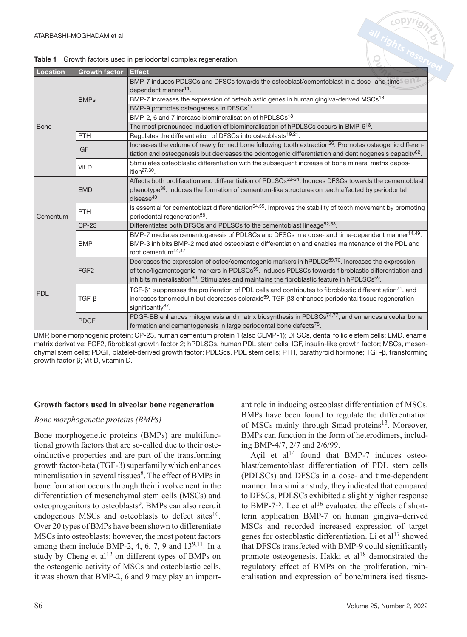| <b>Location</b> | <b>Growth factor</b> | <b>Effect</b>                                                                                                                |
|-----------------|----------------------|------------------------------------------------------------------------------------------------------------------------------|
| <b>Bone</b>     | <b>BMPs</b>          | BMP-7 induces PDLSCs and DFSCs towards the osteoblast/cementoblast in a dose- and times $\oplus$ N $^2$                      |
|                 |                      | dependent manner <sup>14</sup> .                                                                                             |
|                 |                      | BMP-7 increases the expression of osteoblastic genes in human gingiva-derived MSCs <sup>16</sup> .                           |
|                 |                      | BMP-9 promotes osteogenesis in DFSCs <sup>17</sup> .                                                                         |
|                 |                      | BMP-2, 6 and 7 increase biomineralisation of hPDLSCs <sup>18</sup> .                                                         |
|                 |                      | The most pronounced induction of biomineralisation of hPDLSCs occurs in BMP-6 <sup>18</sup> .                                |
|                 | <b>PTH</b>           | Regulates the differentiation of DFSCs into osteoblasts <sup>19,21</sup> .                                                   |
|                 | <b>IGF</b>           | Increases the volume of newly formed bone following tooth extraction <sup>26</sup> . Promotes osteogenic differen-           |
|                 |                      | tiation and osteogenesis but decreases the odontogenic differentiation and dentinogenesis capacity <sup>62</sup> .           |
|                 | Vit D                | Stimulates osteoblastic differentiation with the subsequent increase of bone mineral matrix depos-                           |
|                 |                      | ition $27,30$ .                                                                                                              |
| Cementum        | <b>EMD</b>           | Affects both proliferation and differentiation of PDLSCs <sup>32-34</sup> . Induces DFSCs towards the cementoblast           |
|                 |                      | phenotype <sup>38</sup> . Induces the formation of cementum-like structures on teeth affected by periodontal                 |
|                 |                      | disease $40$ .                                                                                                               |
|                 | <b>PTH</b>           | Is essential for cementoblast differentiation <sup>54,55</sup> . Improves the stability of tooth movement by promoting       |
|                 |                      | periodontal regeneration <sup>56</sup> .                                                                                     |
|                 | CP-23                | Differentiates both DFSCs and PDLSCs to the cementoblast lineage <sup>52,53</sup> .                                          |
|                 | <b>BMP</b>           | BMP-7 mediates cementogenesis of PDLSCs and DFSCs in a dose- and time-dependent manner <sup>14,49</sup> .                    |
|                 |                      | BMP-3 inhibits BMP-2 mediated osteoblastic differentiation and enables maintenance of the PDL and                            |
|                 |                      | root cementum $44,47$ .                                                                                                      |
| PDL             | FGF <sub>2</sub>     | Decreases the expression of osteo/cementogenic markers in hPDLCs <sup>59,70</sup> . Increases the expression                 |
|                 |                      | of teno/ligamentogenic markers in PDLSCs <sup>59</sup> . Induces PDLSCs towards fibroblastic differentiation and             |
|                 |                      | inhibits mineralisation <sup>60</sup> . Stimulates and maintains the fibroblastic feature in hPDLSCs <sup>59</sup> .         |
|                 | $TGF-B$              | TGF- $\beta$ 1 suppresses the proliferation of PDL cells and contributes to fibroblastic differentiation <sup>71</sup> , and |
|                 |                      | increases tenomodulin but decreases scleraxis <sup>59</sup> . TGF- $\beta$ 3 enhances periodontal tissue regeneration        |
|                 |                      | significantly <sup>67</sup> .                                                                                                |
|                 | <b>PDGF</b>          | PDGF-BB enhances mitogenesis and matrix biosynthesis in PDLSCs <sup>74,77</sup> , and enhances alveolar bone                 |
|                 |                      | formation and cementogenesis in large periodontal bone defects $75$ .                                                        |

Table 1 Growth factors used in periodontal complex regeneration.

BMP, bone morphogenic protein; CP-23, human cementum protein 1 (also CEMP-1); DFSCs, dental follicle stem cells; EMD, enamel matrix derivative; FGF2, fibroblast growth factor 2; hPDLSCs, human PDL stem cells; IGF, insulin-like growth factor; MSCs, mesenchymal stem cells; PDGF, platelet-derived growth factor; PDLScs, PDL stem cells; PTH, parathyroid hormone; TGF-β, transforming growth factor β; Vit D, vitamin D.

#### **Growth factors used in alveolar bone regeneration**

#### *Bone morphogenetic proteins (BMPs)*

Bone morphogenetic proteins (BMPs) are multifunctional growth factors that are so-called due to their osteoinductive properties and are part of the transforming growth factor-beta (TGF-β) superfamily which enhances mineralisation in several tissues<sup>8</sup>. The effect of BMPs in bone formation occurs through their involvement in the differentiation of mesenchymal stem cells (MSCs) and osteoprogenitors to osteoblasts<sup>9</sup>. BMPs can also recruit endogenous MSCs and osteoblasts to defect sites<sup>10</sup>. Over 20 types of BMPs have been shown to differentiate MSCs into osteoblasts; however, the most potent factors among them include BMP-2, 4, 6, 7, 9 and  $13^{9,11}$ . In a study by Cheng et  $al<sup>12</sup>$  on different types of BMPs on the osteogenic activity of MSCs and osteoblastic cells, it was shown that BMP-2, 6 and 9 may play an important role in inducing osteoblast differentiation of MSCs. BMPs have been found to regulate the differentiation of MSCs mainly through Smad proteins<sup>13</sup>. Moreover, BMPs can function in the form of heterodimers, including BMP-4/7, 2/7 and 2/6/99.

Açil et al<sup>14</sup> found that BMP-7 induces osteoblast/cementoblast differentiation of PDL stem cells (PDLSCs) and DFSCs in a dose- and time-dependent manner. In a similar study, they indicated that compared to DFSCs, PDLSCs exhibited a slightly higher response to BMP-7<sup>15</sup>. Lee et al<sup>16</sup> evaluated the effects of shortterm application BMP-7 on human gingiva–derived MSCs and recorded increased expression of target genes for osteoblastic differentiation. Li et  $al<sup>17</sup>$  showed that DFSCs transfected with BMP-9 could significantly promote osteogenesis. Hakki et  $al^{18}$  demonstrated the regulatory effect of BMPs on the proliferation, mineralisation and expression of bone/mineralised tissue-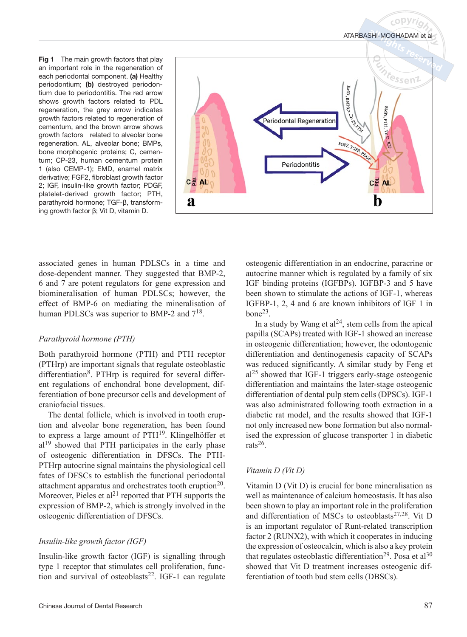Fig 1 The main growth factors that play an important role in the regeneration of each periodontal component. (a) Healthy periodontium; (b) destroyed periodontium due to periodontitis. The red arrow shows growth factors related to PDL regeneration, the grey arrow indicates growth factors related to regeneration of cementum, and the brown arrow shows growth factors related to alveolar bone regeneration. AL, alveolar bone; BMPs, bone morphogenic proteins; C, cementum; CP-23, human cementum protein 1 (also CEMP-1); EMD, enamel matrix derivative; FGF2, fibroblast growth factor 2; IGF, insulin-like growth factor; PDGF, platelet-derived growth factor; PTH, parathyroid hormone; TGF-β, transforming growth factor β; Vit D, vitamin D.



associated genes in human PDLSCs in a time and dose-dependent manner. They suggested that BMP-2, 6 and 7 are potent regulators for gene expression and biomineralisation of human PDLSCs; however, the effect of BMP-6 on mediating the mineralisation of human PDLSCs was superior to BMP-2 and  $7^{18}$ .

#### *Parathyroid hormone (PTH)*

Both parathyroid hormone (PTH) and PTH receptor (PTHrp) are important signals that regulate osteoblastic differentiation<sup>8</sup>. PTHrp is required for several different regulations of enchondral bone development, differentiation of bone precursor cells and development of craniofacial tissues.

The dental follicle, which is involved in tooth eruption and alveolar bone regeneration, has been found to express a large amount of PTH19. Klingelhöffer et  $al<sup>19</sup>$  showed that PTH participates in the early phase of osteogenic differentiation in DFSCs. The PTH-PTHrp autocrine signal maintains the physiological cell fates of DFSCs to establish the functional periodontal attachment apparatus and orchestrates tooth eruption<sup>20</sup>. Moreover, Pieles et al<sup>21</sup> reported that PTH supports the expression of BMP-2, which is strongly involved in the osteogenic differentiation of DFSCs.

## *Insulin-like growth factor (IGF)*

Insulin-like growth factor (IGF) is signalling through type 1 receptor that stimulates cell proliferation, function and survival of osteoblasts<sup>22</sup>. IGF-1 can regulate osteogenic differentiation in an endocrine, paracrine or autocrine manner which is regulated by a family of six IGF binding proteins (IGFBPs). IGFBP-3 and 5 have been shown to stimulate the actions of IGF-1, whereas IGFBP-1, 2, 4 and 6 are known inhibitors of IGF 1 in  $bone<sup>23</sup>$ .

In a study by Wang et  $al^{24}$ , stem cells from the apical papilla (SCAPs) treated with IGF-1 showed an increase in osteogenic differentiation; however, the odontogenic differentiation and dentinogenesis capacity of SCAPs was reduced significantly. A similar study by Feng et  $al<sup>25</sup>$  showed that IGF-1 triggers early-stage osteogenic differentiation and maintains the later-stage osteogenic differentiation of dental pulp stem cells (DPSCs). IGF-1 was also administrated following tooth extraction in a diabetic rat model, and the results showed that IGF-1 not only increased new bone formation but also normalised the expression of glucose transporter 1 in diabetic rats<sup>26</sup>.

#### *Vitamin D (Vit D)*

Vitamin D (Vit D) is crucial for bone mineralisation as well as maintenance of calcium homeostasis. It has also been shown to play an important role in the proliferation and differentiation of MSCs to osteoblasts $27,28$ . Vit D is an important regulator of Runt-related transcription factor 2 (RUNX2), with which it cooperates in inducing the expression of osteocalcin, which is also a key protein that regulates osteoblastic differentiation<sup>29</sup>. Posa et al<sup>30</sup> showed that Vit D treatment increases osteogenic differentiation of tooth bud stem cells (DBSCs).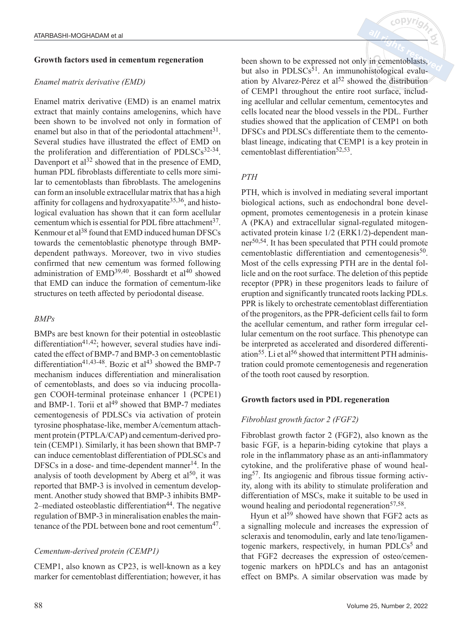#### **Growth factors used in cementum regeneration**

#### *Enamel matrix derivative (EMD)*

Enamel matrix derivative (EMD) is an enamel matrix extract that mainly contains amelogenins, which have been shown to be involved not only in formation of enamel but also in that of the periodontal attachment $31$ . Several studies have illustrated the effect of EMD on the proliferation and differentiation of PDLSCs $32-34$ . Davenport et al<sup>32</sup> showed that in the presence of EMD, human PDL fibroblasts differentiate to cells more similar to cementoblasts than fibroblasts. The amelogenins can form an insoluble extracellular matrix that has a high affinity for collagens and hydroxyapatite<sup>35,36</sup>, and histological evaluation has shown that it can form acellular cementum which is essential for PDL fibre attachment<sup>37</sup>. Kenmour et al<sup>38</sup> found that EMD induced human DFSCs towards the cementoblastic phenotype through BMPdependent pathways. Moreover, two in vivo studies confirmed that new cementum was formed following administration of  $EMD<sup>39,40</sup>$ . Bosshardt et al<sup>40</sup> showed that EMD can induce the formation of cementum-like structures on teeth affected by periodontal disease.

## *BMPs*

BMPs are best known for their potential in osteoblastic differentiation<sup>41,42</sup>; however, several studies have indicated the effect of BMP-7 and BMP-3 on cementoblastic differentiation<sup>41,43-48</sup>. Bozic et al<sup>43</sup> showed the BMP-7 mechanism induces differentiation and mineralisation of cementoblasts, and does so via inducing procollagen COOH-terminal proteinase enhancer 1 (PCPE1) and BMP-1. Torii et  $al^{49}$  showed that BMP-7 mediates cementogenesis of PDLSCs via activation of protein tyrosine phosphatase-like, member A/cementum attachment protein (PTPLA/CAP) and cementum-derived protein (CEMP1). Similarly, it has been shown that BMP-7 can induce cementoblast differentiation of PDLSCs and DFSCs in a dose- and time-dependent manner $14$ . In the analysis of tooth development by Aberg et  $al^{50}$ , it was reported that BMP-3 is involved in cementum development. Another study showed that BMP-3 inhibits BMP-2–mediated osteoblastic differentiation<sup>44</sup>. The negative regulation of BMP-3 in mineralisation enables the maintenance of the PDL between bone and root cementum $47$ .

## *Cementum-derived protein (CEMP1)*

CEMP1, also known as CP23, is well-known as a key marker for cementoblast differentiation; however, it has been shown to be expressed not only in cementoblasts, but also in PDLSCs<sup>51</sup>. An immunohistological evaluation by Alvarez-Pérez et al<sup>52</sup> showed the distribution of CEMP1 throughout the entire root surface, including acellular and cellular cementum, cementocytes and cells located near the blood vessels in the PDL. Further studies showed that the application of CEMP1 on both DFSCs and PDLSCs differentiate them to the cementoblast lineage, indicating that CEMP1 is a key protein in cementoblast differentiation<sup>52,53</sup>.

## *PTH*

PTH, which is involved in mediating several important biological actions, such as endochondral bone development, promotes cementogenesis in a protein kinase A (PKA) and extracellular signal-regulated mitogenactivated protein kinase 1/2 (ERK1/2)-dependent manner50,54. It has been speculated that PTH could promote cementoblastic differentiation and cementogenesis<sup>50</sup>. Most of the cells expressing PTH are in the dental follicle and on the root surface. The deletion of this peptide receptor (PPR) in these progenitors leads to failure of eruption and significantly truncated roots lacking PDLs. PPR is likely to orchestrate cementoblast differentiation of the progenitors, as the PPR-deficient cells fail to form the acellular cementum, and rather form irregular cellular cementum on the root surface. This phenotype can be interpreted as accelerated and disordered differentiation<sup>55</sup>. Li et al<sup>56</sup> showed that intermittent PTH administration could promote cementogenesis and regeneration of the tooth root caused by resorption.

## **Growth factors used in PDL regeneration**

## *Fibroblast growth factor 2 (FGF2)*

Fibroblast growth factor 2 (FGF2), also known as the basic FGF, is a heparin-biding cytokine that plays a role in the inflammatory phase as an anti-inflammatory cytokine, and the proliferative phase of wound healing57. Its angiogenic and fibrous tissue forming activity, along with its ability to stimulate proliferation and differentiation of MSCs, make it suitable to be used in wound healing and periodontal regeneration<sup>57,58</sup>.

Hyun et  $al^{59}$  showed have shown that FGF2 acts as a signalling molecule and increases the expression of scleraxis and tenomodulin, early and late teno/ligamentogenic markers, respectively, in human PDLCs<sup>5</sup> and that FGF2 decreases the expression of osteo/cementogenic markers on hPDLCs and has an antagonist effect on BMPs. A similar observation was made by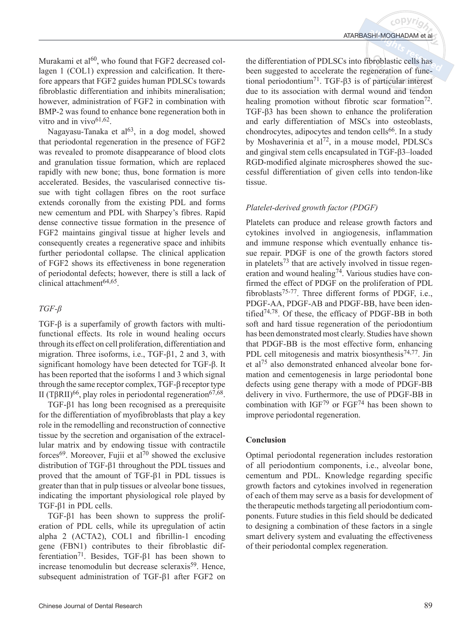Murakami et  $al^{60}$ , who found that FGF2 decreased collagen 1 (COL1) expression and calcification. It therefore appears that FGF2 guides human PDLSCs towards fibroblastic differentiation and inhibits mineralisation; however, administration of FGF2 in combination with BMP-2 was found to enhance bone regeneration both in vitro and in vivo $61,62$ .

Nagayasu-Tanaka et  $al^{63}$ , in a dog model, showed that periodontal regeneration in the presence of FGF2 was revealed to promote disappearance of blood clots and granulation tissue formation, which are replaced rapidly with new bone; thus, bone formation is more accelerated. Besides, the vascularised connective tissue with tight collagen fibres on the root surface extends coronally from the existing PDL and forms new cementum and PDL with Sharpey's fibres. Rapid dense connective tissue formation in the presence of FGF2 maintains gingival tissue at higher levels and consequently creates a regenerative space and inhibits further periodontal collapse. The clinical application of FGF2 shows its effectiveness in bone regeneration of periodontal defects; however, there is still a lack of clinical attachment $64,65$ .

# *TGF-β*

TGF-β is a superfamily of growth factors with multifunctional effects. Its role in wound healing occurs through its effect on cell proliferation, differentiation and migration. Three isoforms, i.e., TGF-β1, 2 and 3, with significant homology have been detected for TGF-β. It has been reported that the isoforms 1 and 3 which signal through the same receptor complex, TGF-β receptor type II (TβRII)<sup>66</sup>, play roles in periodontal regeneration<sup>67,68</sup>.

TGF-β1 has long been recognised as a prerequisite for the differentiation of myofibroblasts that play a key role in the remodelling and reconstruction of connective tissue by the secretion and organisation of the extracellular matrix and by endowing tissue with contractile forces<sup>69</sup>. Moreover, Fujii et al<sup>70</sup> showed the exclusive distribution of TGF-β1 throughout the PDL tissues and proved that the amount of TGF-β1 in PDL tissues is greater than that in pulp tissues or alveolar bone tissues, indicating the important physiological role played by TGF-β1 in PDL cells.

TGF-β1 has been shown to suppress the proliferation of PDL cells, while its upregulation of actin alpha 2 (ACTA2), COL1 and fibrillin-1 encoding gene (FBN1) contributes to their fibroblastic differentiation71. Besides, TGF-β1 has been shown to increase tenomodulin but decrease scleraxis<sup>59</sup>. Hence, subsequent administration of TGF-β1 after FGF2 on

the differentiation of PDLSCs into fibroblastic cells has been suggested to accelerate the regeneration of functional periodontium71. TGF-β3 is of particular interest due to its association with dermal wound and tendon healing promotion without fibrotic scar formation<sup>72</sup>. TGF-β3 has been shown to enhance the proliferation and early differentiation of MSCs into osteoblasts, chondrocytes, adipocytes and tendon cells<sup>66</sup>. In a study by Moshaverinia et al<sup>72</sup>, in a mouse model, PDLSCs and gingival stem cells encapsulated in TGF-β3–loaded RGD-modified alginate microspheres showed the successful differentiation of given cells into tendon-like tissue.

# *Platelet-derived growth factor (PDGF)*

Platelets can produce and release growth factors and cytokines involved in angiogenesis, inflammation and immune response which eventually enhance tissue repair. PDGF is one of the growth factors stored in platelets<sup>73</sup> that are actively involved in tissue regeneration and wound healing<sup>74</sup>. Various studies have confirmed the effect of PDGF on the proliferation of PDL fibroblasts<sup>75-77</sup>. Three different forms of PDGF, i.e., PDGF-AA, PDGF-AB and PDGF-BB, have been identified74,78. Of these, the efficacy of PDGF-BB in both soft and hard tissue regeneration of the periodontium has been demonstrated most clearly. Studies have shown that PDGF-BB is the most effective form, enhancing PDL cell mitogenesis and matrix biosynthesis<sup>74,77</sup>. Jin et al75 also demonstrated enhanced alveolar bone formation and cementogenesis in large periodontal bone defects using gene therapy with a mode of PDGF-BB delivery in vivo. Furthermore, the use of PDGF-BB in combination with IGF79 or FGF74 has been shown to improve periodontal regeneration.

## **Conclusion**

Optimal periodontal regeneration includes restoration of all periodontium components, i.e., alveolar bone, cementum and PDL. Knowledge regarding specific growth factors and cytokines involved in regeneration of each of them may serve as a basis for development of the therapeutic methods targeting all periodontium components. Future studies in this field should be dedicated to designing a combination of these factors in a single smart delivery system and evaluating the effectiveness of their periodontal complex regeneration.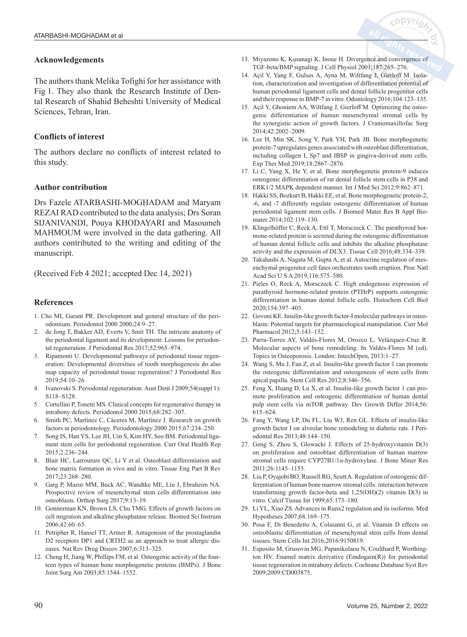## **Acknowledgements**

The authors thank Melika Tofighi for her assistance with Fig 1. They also thank the Research Institute of Dental Research of Shahid Beheshti University of Medical Sciences, Tehran, Iran.

## **Conflicts of interest**

The authors declare no conflicts of interest related to this study.

## **Author contribution**

Drs Fazele ATARBASHI-MOGHADAM and Maryam REZAI RAD contributed to the data analysis; Drs Soran SIJANIVANDI, Pouya KHODAYARI and Masoumeh MAHMOUM were involved in the data gathering. All authors contributed to the writing and editing of the manuscript.

(Received Feb 4 2021; accepted Dec 14, 2021)

## **References**

- 1. Cho MI, Garant PR. Development and general structure of the periodontium. Periodontol 2000 2000;24:9–27.
- 2. de Jong T, Bakker AD, Everts V, Smit TH. The intricate anatomy of the periodontal ligament and its development: Lessons for periodontal regeneration. J Periodontal Res 2017;52:965–974.
- 3. Ripamonti U. Developmental pathways of periodontal tissue regeneration: Developmental diversities of tooth morphogenesis do also map capacity of periodontal tissue regeneration? J Periodontal Res 2019;54:10–26.
- 4. Ivanovski S. Periodontal regeneration. Aust Dent J 2009;54(suppl 1): S118–S128.
- 5. Cortellini P, Tonetti MS. Clinical concepts for regenerative therapy in intrabony defects. Periodontol 2000 2015;68:282–307.
- 6. Smith PC, Martínez C, Cáceres M, Martínez J. Research on growth factors in periodontology. Periodontology 2000 2015;67:234–250.
- 7. Song IS, Han YS, Lee JH, Um S, Kim HY, Seo BM. Periodontal ligament stem cells for periodontal regeneration. Curr Oral Health Rep 2015;2:236–244.
- 8. Blair HC, Larrouture QC, Li Y et al. Osteoblast differentiation and bone matrix formation in vivo and in vitro. Tissue Eng Part B Rev 2017;23:268–280.
- 9. Garg P, Mazur MM, Buck AC, Wandtke ME, Liu J, Ebraheim NA. Prospective review of mesenchymal stem cells differentiation into osteoblasts. Orthop Surg 2017;9:13–19.
- 10. Gonnerman KN, Brown LS, Chu TMG. Effects of growth factors on cell migration and alkaline phosphatase release. Biomed Sci Instrum 2006;42:60–65.
- 11. Pettipher R, Hansel TT, Armer R. Antagonism of the prostaglandin D2 receptors DP1 and CRTH2 as an approach to treat allergic diseases. Nat Rev Drug Discov 2007;6:313–325.
- 12. Cheng H, Jiang W, Phillips FM, et al. Osteogenic activity of the fourteen types of human bone morphogenetic proteins (BMPs). J Bone Joint Surg Am 2003;85:1544–1552.

13. Miyazono K, Kusanagi K, Inoue H. Divergence and convergence of TGF-beta/BMP signaling. J Cell Physiol 2001;187:265–276.

<sub>c</sub>opyri

- 14. Açil Y, Yang F, Gulses A, Ayna M, Wiltfang J, Gierloff M. Isolation, characterization and investigation of differentiation potential of human periodontal ligament cells and dental follicle progenitor cells and their response to BMP-7 in vitro. Odontology 2016;104:123–135.
- 15. Açil Y, Ghoniem AA, Wiltfang J, Gierloff M. Optimizing the osteogenic differentiation of human mesenchymal stromal cells by the synergistic action of growth factors. J Craniomaxillofac Surg 2014;42:2002–2009.
- 16. Lee H, Min SK, Song Y, Park YH, Park JB. Bone morphogenetic protein-7 upregulates genes associated with osteoblast differentiation, including collagen I, Sp7 and IBSP in gingiva-derived stem cells. Exp Ther Med 2019;18:2867–2876.
- 17. Li C, Yang X, He Y, et al. Bone morphogenetic protein-9 induces osteogenic differentiation of rat dental follicle stem cells in P38 and ERK1/2 MAPK dependent manner. Int J Med Sci 2012;9:862–871.
- 18. Hakki SS, Bozkurt B, Hakki EE, et al. Bone morphogenetic protein-2, -6, and -7 differently regulate osteogenic differentiation of human periodontal ligament stem cells. J Biomed Mater Res B Appl Biomater 2014;102:119–130.
- 19. Klingelhöffer C, Reck A, Ettl T, Morsczeck C. The parathyroid hormone-related protein is secreted during the osteogenic differentiation of human dental follicle cells and inhibits the alkaline phosphatase activity and the expression of DLX3. Tissue Cell 2016;48:334–339.
- 20. Takahashi A, Nagata M, Gupta A, et al. Autocrine regulation of mesenchymal progenitor cell fates orchestrates tooth eruption. Proc Natl Acad Sci U S A 2019;116:575–580.
- 21. Pieles O, Reck A, Morsczeck C. High endogenous expression of parathyroid hormone-related protein (PTHrP) supports osteogenic differentiation in human dental follicle cells. Histochem Cell Biol 2020;154:397–403.
- 22. Govoni KE. Insulin-like growth factor-I molecular pathways in osteoblasts: Potential targets for pharmacological manipulation. Curr Mol Pharmacol 2012;5:143–152.
- 23. Parra-Torres AY, Valdés-Flores M, Orozco L, Velázquez-Cruz R. Molecular aspects of bone remodeling. In Valdés-Flores M (ed). Topics in Osteoporosis. London: IntechOpen, 2013:1–27.
- 24. Wang S, Mu J, Fan Z, et al. Insulin-like growth factor 1 can promote the osteogenic differentiation and osteogenesis of stem cells from apical papilla. Stem Cell Res 2012;8:346–356.
- 25. Feng X, Huang D, Lu X, et al. Insulin-like growth factor 1 can promote proliferation and osteogenic differentiation of human dental pulp stem cells via mTOR pathway. Dev Growth Differ 2014;56: 615–624.
- 26. Fang Y, Wang LP, Du FL, Liu WJ, Ren GL. Effects of insulin-like growth factor I on alveolar bone remodeling in diabetic rats. J Periodontal Res 2013;48:144–150.
- 27. Geng S, Zhou S, Glowacki J. Effects of 25-hydroxyvitamin D(3) on proliferation and osteoblast differentiation of human marrow stromal cells require CYP27B1/1α-hydroxylase. J Bone Miner Res 2011;26:1145–1153.
- 28. Liu P, Oyajobi BO, Russell RG, Scutt A. Regulation of osteogenic differentiation of human bone marrow stromal cells: interaction between transforming growth factor-beta and 1,25(OH)(2) vitamin D(3) in vitro. Calcif Tissue Int 1999;65:173–180.
- 29. Li YL, Xiao ZS. Advances in Runx2 regulation and its isoforms. Med Hypotheses 2007;68:169–175.
- 30. Posa F, Di Benedetto A, Colaianni G, et al. Vitamin D effects on osteoblastic differentiation of mesenchymal stem cells from dental tissues. Stem Cells Int 2016;2016:9150819.
- 31. Esposito M, Grusovin MG, Papanikolaou N, Coulthard P, Worthington HV. Enamel matrix derivative (Emdogain(R)) for periodontal tissue regeneration in intrabony defects. Cochrane Database Syst Rev 2009;2009:CD003875.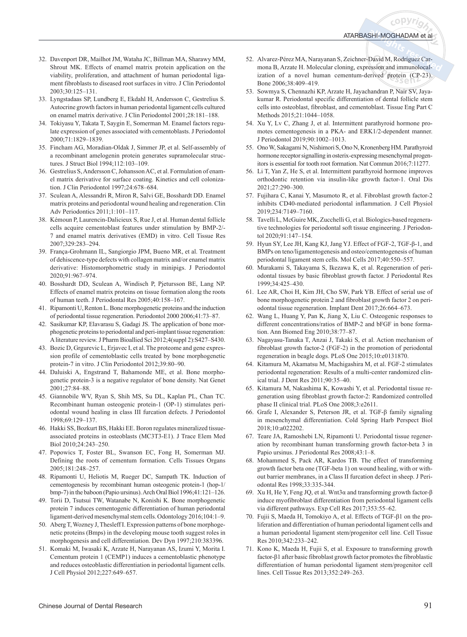<sub>c</sub>opyri<sub>o</sub>

- 32. Davenport DR, Mailhot JM, Wataha JC, Billman MA, Sharawy MM, Shrout MK. Effects of enamel matrix protein application on the viability, proliferation, and attachment of human periodontal ligament fibroblasts to diseased root surfaces in vitro. J Clin Periodontol 2003;30:125–131.
- 33. Lyngstadaas SP, Lundberg E, Ekdahl H, Andersson C, Gestrelius S. Autocrine growth factors in human periodontal ligament cells cultured on enamel matrix derivative. J Clin Periodontol 2001;28:181–188.
- 34. Tokiyasu Y, Takata T, Saygin E, Somerman M. Enamel factors regulate expression of genes associated with cementoblasts. J Periodontol 2000;71:1829–1839.
- 35. Fincham AG, Moradian-Oldak J, Simmer JP, et al. Self-assembly of a recombinant amelogenin protein generates supramolecular structures. J Struct Biol 1994;112:103–109.
- 36. Gestrelius S, Andersson C, Johansson AC, et al. Formulation of enamel matrix derivative for surface coating. Kinetics and cell colonization. J Clin Periodontol 1997;24:678–684.
- 37. Sculean A, Alessandri R, Miron R, Salvi GE, Bosshardt DD. Enamel matrix proteins and periodontal wound healing and regeneration. Clin Adv Periodontics 2011;1:101–117.
- 38. Kémoun P, Laurencin-Dalicieux S, Rue J, et al. Human dental follicle cells acquire cementoblast features under stimulation by BMP-2/-7 and enamel matrix derivatives (EMD) in vitro. Cell Tissue Res 2007;329:283–294.
- 39. França-Grohmann IL, Sangiorgio JPM, Bueno MR, et al. Treatment of dehiscence-type defects with collagen matrix and/or enamel matrix derivative: Histomorphometric study in minipigs. J Periodontol 2020;91:967–974.
- 40. Bosshardt DD, Sculean A, Windisch P, Pjetursson BE, Lang NP. Effects of enamel matrix proteins on tissue formation along the roots of human teeth. J Periodontal Res 2005;40:158–167.
- 41. Ripamonti U, Renton L. Bone morphogenetic proteins and the induction of periodontal tissue regeneration. Periodontol 2000 2006;41:73–87.
- 42. Sasikumar KP, Elavarasu S, Gadagi JS. The application of bone morphogenetic proteins to periodontal and peri-implant tissue regeneration: A literature review. J Pharm Bioallied Sci 2012;4(suppl 2):S427–S430.
- 43. Bozic D, Grgurevic L, Erjavec I, et al. The proteome and gene expression profile of cementoblastic cells treated by bone morphogenetic protein-7 in vitro. J Clin Periodontol 2012;39:80–90.
- 44. Daluiski A, Engstrand T, Bahamonde ME, et al. Bone morphogenetic protein-3 is a negative regulator of bone density. Nat Genet 2001;27:84–88.
- 45. Giannobile WV, Ryan S, Shih MS, Su DL, Kaplan PL, Chan TC. Recombinant human osteogenic protein-1 (OP-1) stimulates periodontal wound healing in class III furcation defects. J Periodontol 1998;69:129–137.
- 46. Hakki SS, Bozkurt BS, Hakki EE. Boron regulates mineralized tissueassociated proteins in osteoblasts (MC3T3-E1). J Trace Elem Med Biol 2010;24:243–250.
- 47. Popowics T, Foster BL, Swanson EC, Fong H, Somerman MJ. Defining the roots of cementum formation. Cells Tissues Organs 2005;181:248–257.
- 48. Ripamonti U, Heliotis M, Rueger DC, Sampath TK. Induction of cementogenesis by recombinant human osteogenic protein-1 (hop-1/ bmp-7) in the baboon (Papio ursinus). Arch Oral Biol 1996;41:121–126.
- 49. Torii D, Tsutsui TW, Watanabe N, Konishi K. Bone morphogenetic protein 7 induces cementogenic differentiation of human periodontal ligament-derived mesenchymal stem cells. Odontology 2016;104:1–9.
- 50. Aberg T, Wozney J, Thesleff I. Expression patterns of bone morphogenetic proteins (Bmps) in the developing mouse tooth suggest roles in morphogenesis and cell differentiation. Dev Dyn 1997;210:383396.
- 51. Komaki M, Iwasaki K, Arzate H, Narayanan AS, Izumi Y, Morita I. Cementum protein 1 (CEMP1) induces a cementoblastic phenotype and reduces osteoblastic differentiation in periodontal ligament cells. J Cell Physiol 2012;227:649–657.
- 52. Alvarez-Pérez MA, Narayanan S, Zeichner-David M, Rodríguez Carmona B, Arzate H. Molecular cloning, expression and immunolocalization of a novel human cementum-derived protein (CP-23). Bone 2006;38:409–419.
- 53. Sowmya S, Chennazhi KP, Arzate H, Jayachandran P, Nair SV, Jayakumar R. Periodontal specific differentiation of dental follicle stem cells into osteoblast, fibroblast, and cementoblast. Tissue Eng Part C Methods 2015;21:1044–1058.
- 54. Xu Y, Lv C, Zhang J, et al. Intermittent parathyroid hormone promotes cementogenesis in a PKA- and ERK1/2-dependent manner. J Periodontol 2019;90:1002–1013.
- 55. Ono W, Sakagami N, Nishimori S, Ono N, Kronenberg HM. Parathyroid hormone receptor signalling in osterix-expressing mesenchymal progenitors is essential for tooth root formation. Nat Commun 2016;7:11277.
- 56. Li T, Yan Z, He S, et al. Intermittent parathyroid hormone improves orthodontic retention via insulin-like growth factor-1. Oral Dis 2021;27:290–300.
- 57. Fujihara C, Kanai Y, Masumoto R, et al. Fibroblast growth factor-2 inhibits CD40-mediated periodontal inflammation. J Cell Physiol 2019;234:7149–7160.
- 58. Tavelli L, McGuire MK, Zucchelli G, et al. Biologics-based regenerative technologies for periodontal soft tissue engineering. J Periodontol 2020;91:147–154.
- 59. Hyun SY, Lee JH, Kang KJ, Jang YJ. Effect of FGF-2, TGF-β-1, and BMPs on teno/ligamentogenesis and osteo/cementogenesis of human periodontal ligament stem cells. Mol Cells 2017;40:550–557.
- 60. Murakami S, Takayama S, Ikezawa K, et al. Regeneration of periodontal tissues by basic fibroblast growth factor. J Periodontal Res 1999;34:425–430.
- 61. Lee AR, Choi H, Kim JH, Cho SW, Park YB. Effect of serial use of bone morphogenetic protein 2 and fibroblast growth factor 2 on periodontal tissue regeneration. Implant Dent 2017;26:664–673.
- 62. Wang L, Huang Y, Pan K, Jiang X, Liu C. Osteogenic responses to different concentrations/ratios of BMP-2 and bFGF in bone formation. Ann Biomed Eng 2010;38:77–87.
- 63. Nagayasu-Tanaka T, Anzai J, Takaki S, et al. Action mechanism of fibroblast growth factor-2 (FGF-2) in the promotion of periodontal regeneration in beagle dogs. PLoS One 2015;10:e0131870.
- 64. Kitamura M, Akamatsu M, Machigashira M, et al. FGF-2 stimulates periodontal regeneration: Results of a multi-center randomized clinical trial. J Dent Res 2011;90:35–40.
- 65. Kitamura M, Nakashima K, Kowashi Y, et al. Periodontal tissue regeneration using fibroblast growth factor-2: Randomized controlled phase II clinical trial. PLoS One 2008;3:e2611.
- 66. Grafe I, Alexander S, Peterson JR, et al. TGF-β family signaling in mesenchymal differentiation. Cold Spring Harb Perspect Biol 2018;10:a022202.
- 67. Teare JA, Ramoshebi LN, Ripamonti U. Periodontal tissue regeneration by recombinant human transforming growth factor-beta 3 in Papio ursinus. J Periodontal Res 2008;43:1–8.
- 68. Mohammed S, Pack AR, Kardos TB. The effect of transforming growth factor beta one (TGF-beta 1) on wound healing, with or without barrier membranes, in a Class II furcation defect in sheep. J Periodontal Res 1998;33:335-344.
- 69. Xu H, He Y, Feng JQ, et al. Wnt3α and transforming growth factor-β induce myofibroblast differentiation from periodontal ligament cells via different pathways. Exp Cell Res 2017;353:55–62.
- 70. Fujii S, Maeda H, Tomokiyo A, et al. Effects of TGF-β1 on the proliferation and differentiation of human periodontal ligament cells and a human periodontal ligament stem/progenitor cell line. Cell Tissue Res 2010;342:233–242.
- 71. Kono K, Maeda H, Fujii S, et al. Exposure to transforming growth factor-β1 after basic fibroblast growth factor promotes the fibroblastic differentiation of human periodontal ligament stem/progenitor cell lines. Cell Tissue Res 2013;352:249–263.